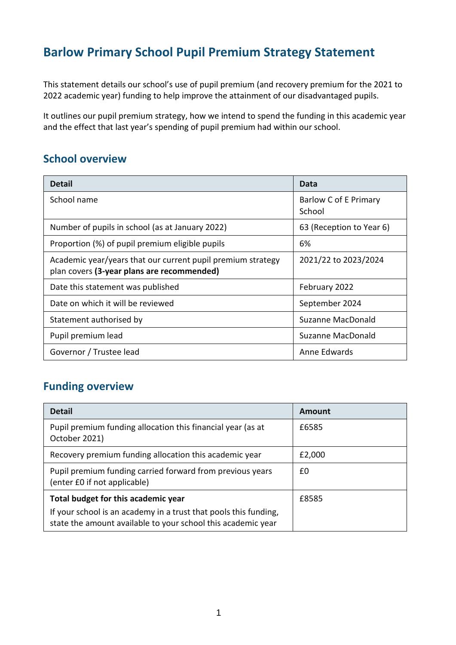# **Barlow Primary School Pupil Premium Strategy Statement**

This statement details our school's use of pupil premium (and recovery premium for the 2021 to 2022 academic year) funding to help improve the attainment of our disadvantaged pupils.

It outlines our pupil premium strategy, how we intend to spend the funding in this academic year and the effect that last year's spending of pupil premium had within our school.

### **School overview**

| <b>Detail</b>                                                                                             | Data                            |
|-----------------------------------------------------------------------------------------------------------|---------------------------------|
| School name                                                                                               | Barlow C of E Primary<br>School |
| Number of pupils in school (as at January 2022)                                                           | 63 (Reception to Year 6)        |
| Proportion (%) of pupil premium eligible pupils                                                           | 6%                              |
| Academic year/years that our current pupil premium strategy<br>plan covers (3-year plans are recommended) | 2021/22 to 2023/2024            |
| Date this statement was published                                                                         | February 2022                   |
| Date on which it will be reviewed                                                                         | September 2024                  |
| Statement authorised by                                                                                   | Suzanne MacDonald               |
| Pupil premium lead                                                                                        | Suzanne MacDonald               |
| Governor / Trustee lead                                                                                   | Anne Edwards                    |

## **Funding overview**

| <b>Detail</b>                                                                                                                    | Amount |
|----------------------------------------------------------------------------------------------------------------------------------|--------|
| Pupil premium funding allocation this financial year (as at<br>October 2021)                                                     | £6585  |
| Recovery premium funding allocation this academic year                                                                           | £2,000 |
| Pupil premium funding carried forward from previous years<br>(enter £0 if not applicable)                                        | £0     |
| Total budget for this academic year                                                                                              | £8585  |
| If your school is an academy in a trust that pools this funding,<br>state the amount available to your school this academic year |        |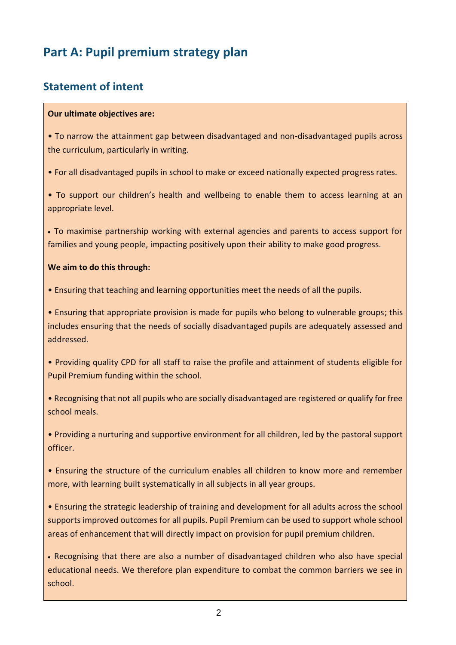# **Part A: Pupil premium strategy plan**

### **Statement of intent**

#### **Our ultimate objectives are:**

• To narrow the attainment gap between disadvantaged and non-disadvantaged pupils across the curriculum, particularly in writing.

• For all disadvantaged pupils in school to make or exceed nationally expected progress rates.

• To support our children's health and wellbeing to enable them to access learning at an appropriate level.

• To maximise partnership working with external agencies and parents to access support for families and young people, impacting positively upon their ability to make good progress.

#### **We aim to do this through:**

• Ensuring that teaching and learning opportunities meet the needs of all the pupils.

• Ensuring that appropriate provision is made for pupils who belong to vulnerable groups; this includes ensuring that the needs of socially disadvantaged pupils are adequately assessed and addressed.

• Providing quality CPD for all staff to raise the profile and attainment of students eligible for Pupil Premium funding within the school.

• Recognising that not all pupils who are socially disadvantaged are registered or qualify for free school meals.

• Providing a nurturing and supportive environment for all children, led by the pastoral support officer.

• Ensuring the structure of the curriculum enables all children to know more and remember more, with learning built systematically in all subjects in all year groups.

• Ensuring the strategic leadership of training and development for all adults across the school supports improved outcomes for all pupils. Pupil Premium can be used to support whole school areas of enhancement that will directly impact on provision for pupil premium children.

• Recognising that there are also a number of disadvantaged children who also have special educational needs. We therefore plan expenditure to combat the common barriers we see in school.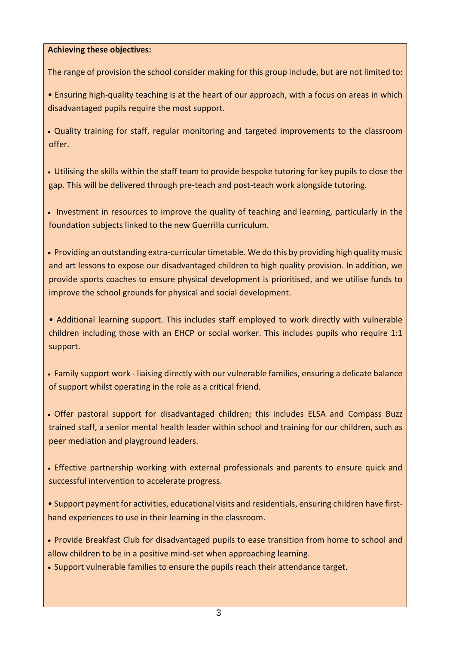#### **Achieving these objectives:**

The range of provision the school consider making for this group include, but are not limited to:

• Ensuring high-quality teaching is at the heart of our approach, with a focus on areas in which disadvantaged pupils require the most support.

• Quality training for staff, regular monitoring and targeted improvements to the classroom offer.

• Utilising the skills within the staff team to provide bespoke tutoring for key pupils to close the gap. This will be delivered through pre-teach and post-teach work alongside tutoring.

• Investment in resources to improve the quality of teaching and learning, particularly in the foundation subjects linked to the new Guerrilla curriculum.

• Providing an outstanding extra-curricular timetable. We do this by providing high quality music and art lessons to expose our disadvantaged children to high quality provision. In addition, we provide sports coaches to ensure physical development is prioritised, and we utilise funds to improve the school grounds for physical and social development.

• Additional learning support. This includes staff employed to work directly with vulnerable children including those with an EHCP or social worker. This includes pupils who require 1:1 support.

• Family support work - liaising directly with our vulnerable families, ensuring a delicate balance of support whilst operating in the role as a critical friend.

• Offer pastoral support for disadvantaged children; this includes ELSA and Compass Buzz trained staff, a senior mental health leader within school and training for our children, such as peer mediation and playground leaders.

• Effective partnership working with external professionals and parents to ensure quick and successful intervention to accelerate progress.

• Support payment for activities, educational visits and residentials, ensuring children have firsthand experiences to use in their learning in the classroom.

• Provide Breakfast Club for disadvantaged pupils to ease transition from home to school and allow children to be in a positive mind-set when approaching learning.

• Support vulnerable families to ensure the pupils reach their attendance target.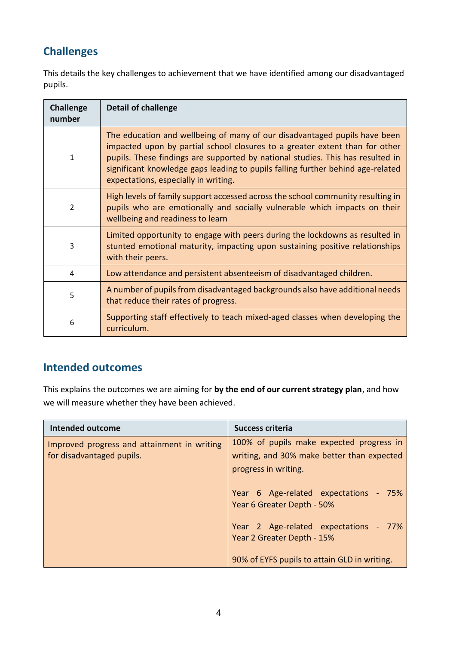# **Challenges**

This details the key challenges to achievement that we have identified among our disadvantaged pupils.

| <b>Challenge</b><br>number | <b>Detail of challenge</b>                                                                                                                                                                                                                                                                                                                                            |
|----------------------------|-----------------------------------------------------------------------------------------------------------------------------------------------------------------------------------------------------------------------------------------------------------------------------------------------------------------------------------------------------------------------|
| $\mathbf{1}$               | The education and wellbeing of many of our disadvantaged pupils have been<br>impacted upon by partial school closures to a greater extent than for other<br>pupils. These findings are supported by national studies. This has resulted in<br>significant knowledge gaps leading to pupils falling further behind age-related<br>expectations, especially in writing. |
| $\mathcal{P}$              | High levels of family support accessed across the school community resulting in<br>pupils who are emotionally and socially vulnerable which impacts on their<br>wellbeing and readiness to learn                                                                                                                                                                      |
| 3                          | Limited opportunity to engage with peers during the lockdowns as resulted in<br>stunted emotional maturity, impacting upon sustaining positive relationships<br>with their peers.                                                                                                                                                                                     |
| 4                          | Low attendance and persistent absenteeism of disadvantaged children.                                                                                                                                                                                                                                                                                                  |
| 5                          | A number of pupils from disadvantaged backgrounds also have additional needs<br>that reduce their rates of progress.                                                                                                                                                                                                                                                  |
| 6                          | Supporting staff effectively to teach mixed-aged classes when developing the<br>curriculum.                                                                                                                                                                                                                                                                           |

### **Intended outcomes**

This explains the outcomes we are aiming for **by the end of our current strategy plan**, and how we will measure whether they have been achieved.

| <b>Intended outcome</b>                                                  | Success criteria                                                                                               |
|--------------------------------------------------------------------------|----------------------------------------------------------------------------------------------------------------|
| Improved progress and attainment in writing<br>for disadvantaged pupils. | 100% of pupils make expected progress in<br>writing, and 30% make better than expected<br>progress in writing. |
|                                                                          | Year 6 Age-related expectations - 75%<br>Year 6 Greater Depth - 50%                                            |
|                                                                          | Year 2 Age-related expectations - 77%<br>Year 2 Greater Depth - 15%                                            |
|                                                                          | 90% of EYFS pupils to attain GLD in writing.                                                                   |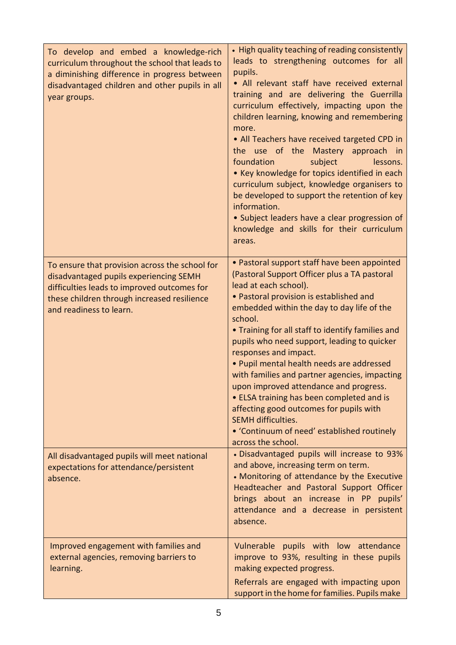| To develop and embed a knowledge-rich<br>curriculum throughout the school that leads to<br>a diminishing difference in progress between<br>disadvantaged children and other pupils in all<br>year groups.         | • High quality teaching of reading consistently<br>leads to strengthening outcomes for all<br>pupils.<br>• All relevant staff have received external<br>training and are delivering the Guerrilla<br>curriculum effectively, impacting upon the<br>children learning, knowing and remembering<br>more.<br>• All Teachers have received targeted CPD in<br>the use of the Mastery approach in<br>foundation<br>subject<br>lessons.<br>• Key knowledge for topics identified in each<br>curriculum subject, knowledge organisers to<br>be developed to support the retention of key<br>information.<br>• Subject leaders have a clear progression of<br>knowledge and skills for their curriculum<br>areas. |
|-------------------------------------------------------------------------------------------------------------------------------------------------------------------------------------------------------------------|-----------------------------------------------------------------------------------------------------------------------------------------------------------------------------------------------------------------------------------------------------------------------------------------------------------------------------------------------------------------------------------------------------------------------------------------------------------------------------------------------------------------------------------------------------------------------------------------------------------------------------------------------------------------------------------------------------------|
| To ensure that provision across the school for<br>disadvantaged pupils experiencing SEMH<br>difficulties leads to improved outcomes for<br>these children through increased resilience<br>and readiness to learn. | • Pastoral support staff have been appointed<br>(Pastoral Support Officer plus a TA pastoral<br>lead at each school).<br>· Pastoral provision is established and<br>embedded within the day to day life of the<br>school.<br>. Training for all staff to identify families and<br>pupils who need support, leading to quicker<br>responses and impact.<br>· Pupil mental health needs are addressed<br>with families and partner agencies, impacting<br>upon improved attendance and progress.<br>• ELSA training has been completed and is<br>affecting good outcomes for pupils with<br><b>SEMH difficulties.</b><br>• 'Continuum of need' established routinely<br>across the school.                  |
| All disadvantaged pupils will meet national<br>expectations for attendance/persistent<br>absence.                                                                                                                 | · Disadvantaged pupils will increase to 93%<br>and above, increasing term on term.<br>• Monitoring of attendance by the Executive<br>Headteacher and Pastoral Support Officer<br>brings about an increase in PP pupils'<br>attendance and a decrease in persistent<br>absence.                                                                                                                                                                                                                                                                                                                                                                                                                            |
| Improved engagement with families and<br>external agencies, removing barriers to<br>learning.                                                                                                                     | Vulnerable pupils with low attendance<br>improve to 93%, resulting in these pupils<br>making expected progress.<br>Referrals are engaged with impacting upon<br>support in the home for families. Pupils make                                                                                                                                                                                                                                                                                                                                                                                                                                                                                             |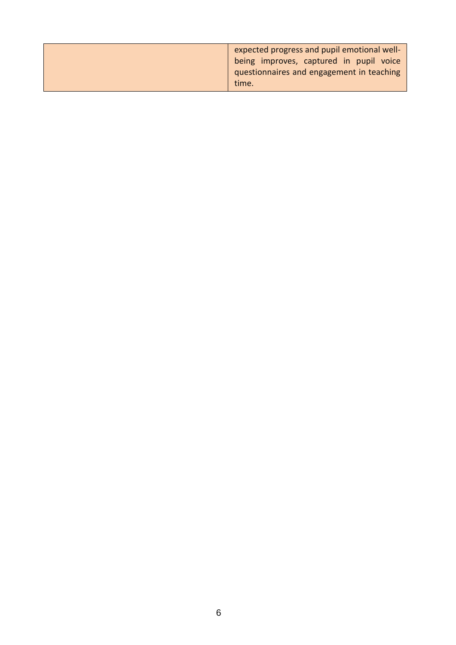| expected progress and pupil emotional well- |  |  |
|---------------------------------------------|--|--|
| being improves, captured in pupil voice     |  |  |
| questionnaires and engagement in teaching   |  |  |
| time.                                       |  |  |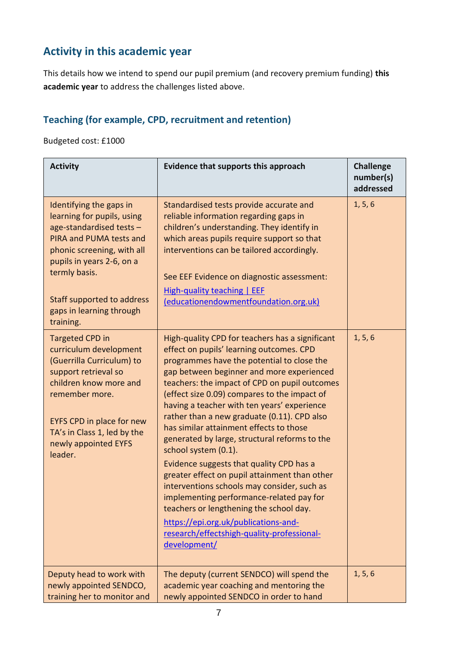# **Activity in this academic year**

This details how we intend to spend our pupil premium (and recovery premium funding) **this academic year** to address the challenges listed above.

### **Teaching (for example, CPD, recruitment and retention)**

Budgeted cost: £1000

| <b>Activity</b>                                                                                                                                                                                                                                                 | <b>Evidence that supports this approach</b>                                                                                                                                                                                                                                                                                                                                                                                                                                                                                                                                                                                                                                                                                                                                                                                                        | <b>Challenge</b><br>number(s)<br>addressed |
|-----------------------------------------------------------------------------------------------------------------------------------------------------------------------------------------------------------------------------------------------------------------|----------------------------------------------------------------------------------------------------------------------------------------------------------------------------------------------------------------------------------------------------------------------------------------------------------------------------------------------------------------------------------------------------------------------------------------------------------------------------------------------------------------------------------------------------------------------------------------------------------------------------------------------------------------------------------------------------------------------------------------------------------------------------------------------------------------------------------------------------|--------------------------------------------|
| Identifying the gaps in<br>learning for pupils, using<br>age-standardised tests -<br>PIRA and PUMA tests and<br>phonic screening, with all<br>pupils in years 2-6, on a<br>termly basis.<br>Staff supported to address<br>gaps in learning through<br>training. | Standardised tests provide accurate and<br>reliable information regarding gaps in<br>children's understanding. They identify in<br>which areas pupils require support so that<br>interventions can be tailored accordingly.<br>See EEF Evidence on diagnostic assessment:<br><b>High-quality teaching   EEF</b><br>(educationendowmentfoundation.org.uk)                                                                                                                                                                                                                                                                                                                                                                                                                                                                                           | 1, 5, 6                                    |
| <b>Targeted CPD in</b><br>curriculum development<br>(Guerrilla Curriculum) to<br>support retrieval so<br>children know more and<br>remember more.<br>EYFS CPD in place for new<br>TA's in Class 1, led by the<br>newly appointed EYFS<br>leader.                | High-quality CPD for teachers has a significant<br>effect on pupils' learning outcomes. CPD<br>programmes have the potential to close the<br>gap between beginner and more experienced<br>teachers: the impact of CPD on pupil outcomes<br>(effect size 0.09) compares to the impact of<br>having a teacher with ten years' experience<br>rather than a new graduate (0.11). CPD also<br>has similar attainment effects to those<br>generated by large, structural reforms to the<br>school system (0.1).<br>Evidence suggests that quality CPD has a<br>greater effect on pupil attainment than other<br>interventions schools may consider, such as<br>implementing performance-related pay for<br>teachers or lengthening the school day.<br>https://epi.org.uk/publications-and-<br>research/effectshigh-quality-professional-<br>development/ | 1, 5, 6                                    |
| Deputy head to work with<br>newly appointed SENDCO,<br>training her to monitor and                                                                                                                                                                              | The deputy (current SENDCO) will spend the<br>academic year coaching and mentoring the<br>newly appointed SENDCO in order to hand                                                                                                                                                                                                                                                                                                                                                                                                                                                                                                                                                                                                                                                                                                                  | 1, 5, 6                                    |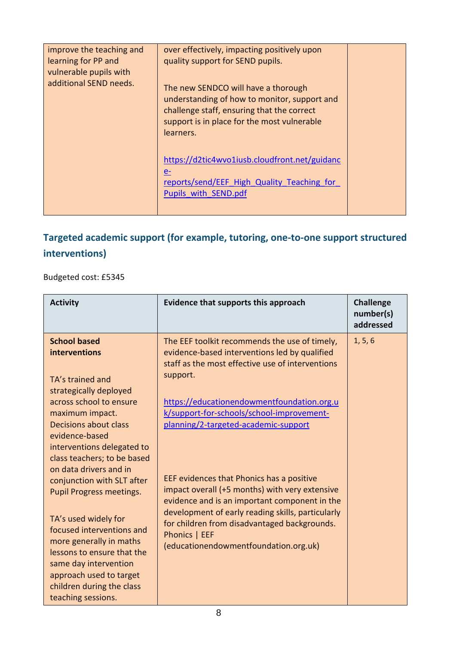| improve the teaching and | over effectively, impacting positively upon   |  |
|--------------------------|-----------------------------------------------|--|
| learning for PP and      | quality support for SEND pupils.              |  |
|                          |                                               |  |
| vulnerable pupils with   |                                               |  |
| additional SEND needs.   |                                               |  |
|                          | The new SENDCO will have a thorough           |  |
|                          | understanding of how to monitor, support and  |  |
|                          | challenge staff, ensuring that the correct    |  |
|                          | support is in place for the most vulnerable   |  |
|                          |                                               |  |
|                          | learners.                                     |  |
|                          |                                               |  |
|                          | https://d2tic4wvo1iusb.cloudfront.net/guidanc |  |
|                          |                                               |  |
|                          | $e-$                                          |  |
|                          | reports/send/EEF High Quality Teaching for    |  |
|                          | Pupils with SEND.pdf                          |  |
|                          |                                               |  |
|                          |                                               |  |

# **Targeted academic support (for example, tutoring, one-to-one support structured interventions)**

Budgeted cost: £5345

| <b>Activity</b>                                                                                                                                                                                                                                                                                                                                     | Evidence that supports this approach                                                                                                                                                                                                                                                                        | <b>Challenge</b><br>number(s)<br>addressed |
|-----------------------------------------------------------------------------------------------------------------------------------------------------------------------------------------------------------------------------------------------------------------------------------------------------------------------------------------------------|-------------------------------------------------------------------------------------------------------------------------------------------------------------------------------------------------------------------------------------------------------------------------------------------------------------|--------------------------------------------|
| <b>School based</b><br>interventions<br>TA's trained and<br>strategically deployed<br>across school to ensure<br>maximum impact.<br><b>Decisions about class</b><br>evidence-based                                                                                                                                                                  | The EEF toolkit recommends the use of timely,<br>evidence-based interventions led by qualified<br>staff as the most effective use of interventions<br>support.<br>https://educationendowmentfoundation.org.u<br>k/support-for-schools/school-improvement-<br>planning/2-targeted-academic-support           | 1, 5, 6                                    |
| interventions delegated to<br>class teachers; to be based<br>on data drivers and in<br>conjunction with SLT after<br><b>Pupil Progress meetings.</b><br>TA's used widely for<br>focused interventions and<br>more generally in maths<br>lessons to ensure that the<br>same day intervention<br>approach used to target<br>children during the class | EEF evidences that Phonics has a positive<br>impact overall (+5 months) with very extensive<br>evidence and is an important component in the<br>development of early reading skills, particularly<br>for children from disadvantaged backgrounds.<br>Phonics   EEF<br>(educationendowmentfoundation.org.uk) |                                            |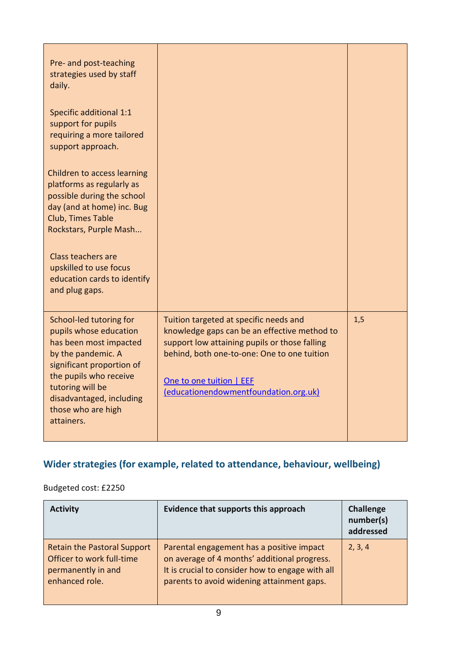| Pre- and post-teaching<br>strategies used by staff<br>daily.<br>Specific additional 1:1<br>support for pupils<br>requiring a more tailored<br>support approach.                                                                              |                                                                                                                                                                                                                                                             |     |
|----------------------------------------------------------------------------------------------------------------------------------------------------------------------------------------------------------------------------------------------|-------------------------------------------------------------------------------------------------------------------------------------------------------------------------------------------------------------------------------------------------------------|-----|
| Children to access learning<br>platforms as regularly as<br>possible during the school<br>day (and at home) inc. Bug<br>Club, Times Table<br>Rockstars, Purple Mash                                                                          |                                                                                                                                                                                                                                                             |     |
| <b>Class teachers are</b><br>upskilled to use focus<br>education cards to identify<br>and plug gaps.                                                                                                                                         |                                                                                                                                                                                                                                                             |     |
| School-led tutoring for<br>pupils whose education<br>has been most impacted<br>by the pandemic. A<br>significant proportion of<br>the pupils who receive<br>tutoring will be<br>disadvantaged, including<br>those who are high<br>attainers. | Tuition targeted at specific needs and<br>knowledge gaps can be an effective method to<br>support low attaining pupils or those falling<br>behind, both one-to-one: One to one tuition<br>One to one tuition   EEF<br>(educationendowmentfoundation.org.uk) | 1,5 |

## **Wider strategies (for example, related to attendance, behaviour, wellbeing)**

## Budgeted cost: £2250

| <b>Activity</b>                                                                                         | Evidence that supports this approach                                                                                                                                                        | <b>Challenge</b><br>number(s)<br>addressed |
|---------------------------------------------------------------------------------------------------------|---------------------------------------------------------------------------------------------------------------------------------------------------------------------------------------------|--------------------------------------------|
| <b>Retain the Pastoral Support</b><br>Officer to work full-time<br>permanently in and<br>enhanced role. | Parental engagement has a positive impact<br>on average of 4 months' additional progress.<br>It is crucial to consider how to engage with all<br>parents to avoid widening attainment gaps. | 2, 3, 4                                    |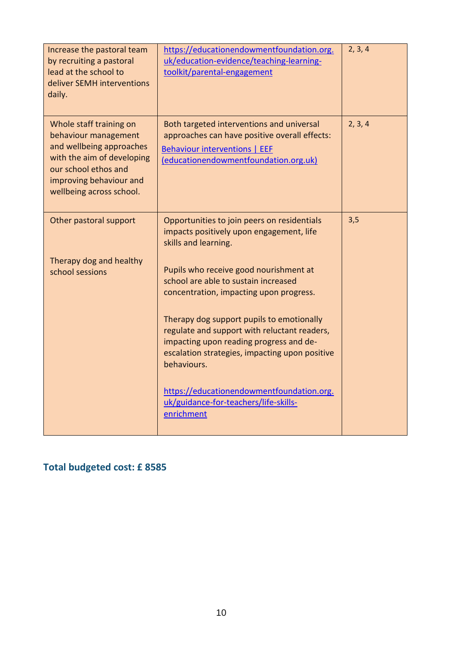| Increase the pastoral team<br>by recruiting a pastoral<br>lead at the school to<br>deliver SEMH interventions<br>daily.                                                                  | https://educationendowmentfoundation.org.<br>uk/education-evidence/teaching-learning-<br>toolkit/parental-engagement                                                                                                                                                                                                               | 2, 3, 4 |
|------------------------------------------------------------------------------------------------------------------------------------------------------------------------------------------|------------------------------------------------------------------------------------------------------------------------------------------------------------------------------------------------------------------------------------------------------------------------------------------------------------------------------------|---------|
| Whole staff training on<br>behaviour management<br>and wellbeing approaches<br>with the aim of developing<br>our school ethos and<br>improving behaviour and<br>wellbeing across school. | Both targeted interventions and universal<br>approaches can have positive overall effects:<br><b>Behaviour interventions   EEF</b><br>(educationendowmentfoundation.org.uk)                                                                                                                                                        | 2, 3, 4 |
| Other pastoral support                                                                                                                                                                   | Opportunities to join peers on residentials<br>impacts positively upon engagement, life<br>skills and learning.                                                                                                                                                                                                                    | 3,5     |
| Therapy dog and healthy<br>school sessions                                                                                                                                               | Pupils who receive good nourishment at<br>school are able to sustain increased<br>concentration, impacting upon progress.<br>Therapy dog support pupils to emotionally<br>regulate and support with reluctant readers,<br>impacting upon reading progress and de-<br>escalation strategies, impacting upon positive<br>behaviours. |         |
|                                                                                                                                                                                          | https://educationendowmentfoundation.org.<br>uk/guidance-for-teachers/life-skills-<br>enrichment                                                                                                                                                                                                                                   |         |

## **Total budgeted cost: £ 8585**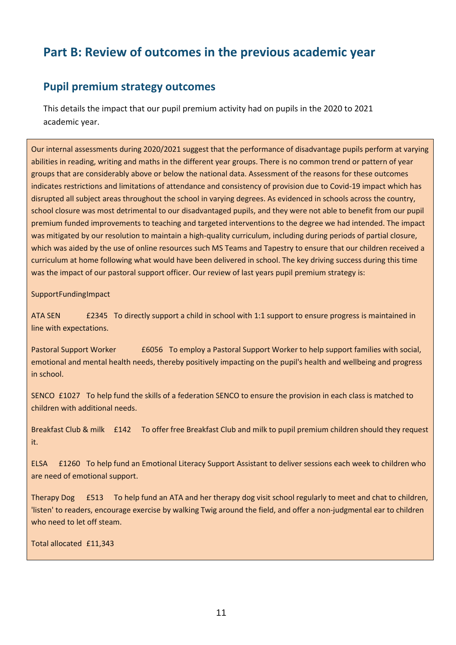# **Part B: Review of outcomes in the previous academic year**

### **Pupil premium strategy outcomes**

This details the impact that our pupil premium activity had on pupils in the 2020 to 2021 academic year.

Our internal assessments during 2020/2021 suggest that the performance of disadvantage pupils perform at varying abilities in reading, writing and maths in the different year groups. There is no common trend or pattern of year groups that are considerably above or below the national data. Assessment of the reasons for these outcomes indicates restrictions and limitations of attendance and consistency of provision due to Covid-19 impact which has disrupted all subject areas throughout the school in varying degrees. As evidenced in schools across the country, school closure was most detrimental to our disadvantaged pupils, and they were not able to benefit from our pupil premium funded improvements to teaching and targeted interventions to the degree we had intended. The impact was mitigated by our resolution to maintain a high-quality curriculum, including during periods of partial closure, which was aided by the use of online resources such MS Teams and Tapestry to ensure that our children received a curriculum at home following what would have been delivered in school. The key driving success during this time was the impact of our pastoral support officer. Our review of last years pupil premium strategy is:

SupportFundingImpact

ATA SEN £2345 To directly support a child in school with 1:1 support to ensure progress is maintained in line with expectations.

Pastoral Support Worker **E6056** To employ a Pastoral Support Worker to help support families with social, emotional and mental health needs, thereby positively impacting on the pupil's health and wellbeing and progress in school.

SENCO £1027 To help fund the skills of a federation SENCO to ensure the provision in each class is matched to children with additional needs.

Breakfast Club & milk £142 To offer free Breakfast Club and milk to pupil premium children should they request it.

ELSA £1260 To help fund an Emotional Literacy Support Assistant to deliver sessions each week to children who are need of emotional support.

Therapy Dog £513 To help fund an ATA and her therapy dog visit school regularly to meet and chat to children, 'listen' to readers, encourage exercise by walking Twig around the field, and offer a non-judgmental ear to children who need to let off steam.

Total allocated £11,343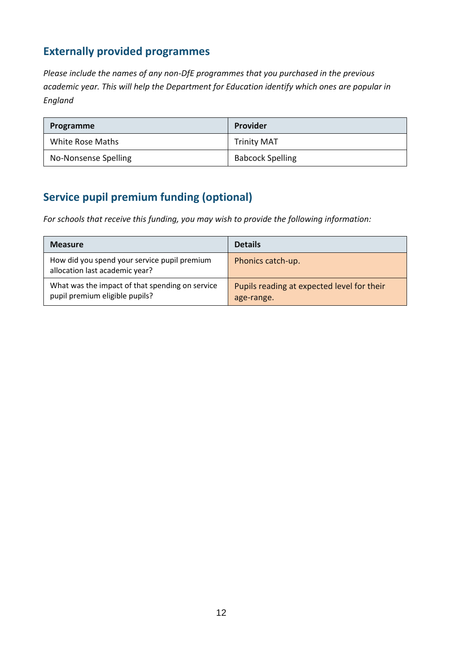## **Externally provided programmes**

*Please include the names of any non-DfE programmes that you purchased in the previous academic year. This will help the Department for Education identify which ones are popular in England*

| Programme            | Provider                |
|----------------------|-------------------------|
| White Rose Maths     | <b>Trinity MAT</b>      |
| No-Nonsense Spelling | <b>Babcock Spelling</b> |

## **Service pupil premium funding (optional)**

*For schools that receive this funding, you may wish to provide the following information:* 

| <b>Measure</b>                                                                    | <b>Details</b>                                           |
|-----------------------------------------------------------------------------------|----------------------------------------------------------|
| How did you spend your service pupil premium<br>allocation last academic year?    | Phonics catch-up.                                        |
| What was the impact of that spending on service<br>pupil premium eligible pupils? | Pupils reading at expected level for their<br>age-range. |